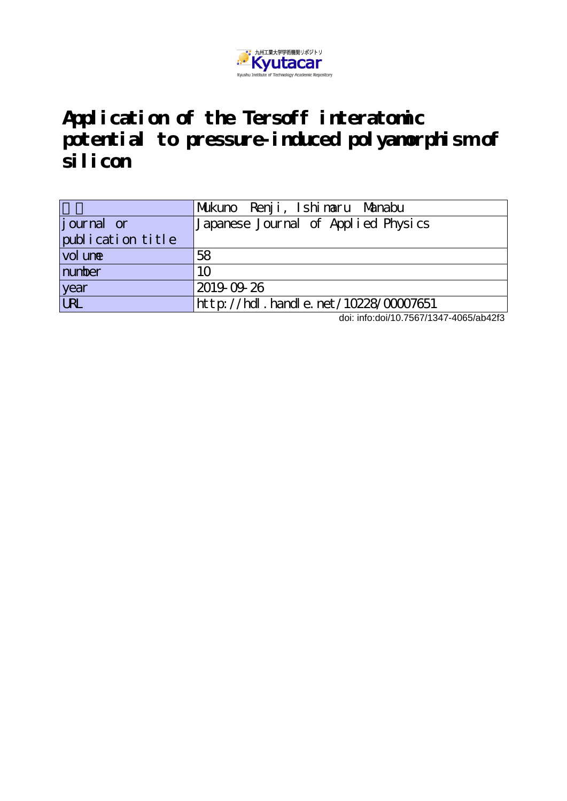

**Application of the Tersoff interatomic potential to pressure-induced polyamorphism of silicon**

|                            | Mukuno Renji, Ishinaru Manabu                   |
|----------------------------|-------------------------------------------------|
| journal or                 | Japanese Journal of Applied Physics             |
| publication title          |                                                 |
| $\vert$ vol un $\mathbf e$ | 58                                              |
| number                     | 10                                              |
| year                       | 2019-09-26                                      |
| URL                        | $ht$ p: $//$ hdl. handle. net $/10228/00007651$ |

doi: info:doi/10.7567/1347-4065/ab42f3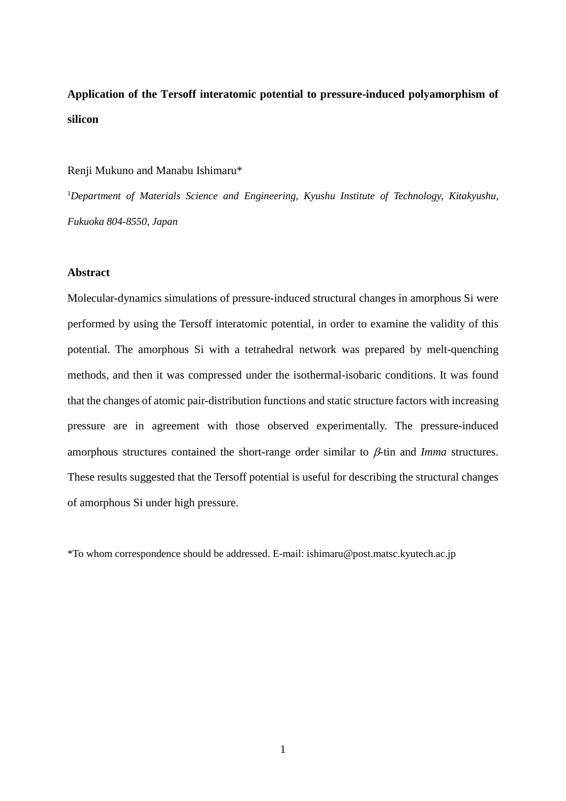# **Application of the Tersoff interatomic potential to pressure-induced polyamorphism of silicon**

#### Renji Mukuno and Manabu Ishimaru\*

1 *Department of Materials Science and Engineering, Kyushu Institute of Technology, Kitakyushu, Fukuoka 804-8550, Japan*

#### **Abstract**

Molecular-dynamics simulations of pressure-induced structural changes in amorphous Si were performed by using the Tersoff interatomic potential, in order to examine the validity of this potential. The amorphous Si with a tetrahedral network was prepared by melt-quenching methods, and then it was compressed under the isothermal-isobaric conditions. It was found that the changes of atomic pair-distribution functions and static structure factors with increasing pressure are in agreement with those observed experimentally. The pressure-induced amorphous structures contained the short-range order similar to β-tin and *Imma* structures. These results suggested that the Tersoff potential is useful for describing the structural changes of amorphous Si under high pressure.

\*To whom correspondence should be addressed. E-mail: ishimaru@post.matsc.kyutech.ac.jp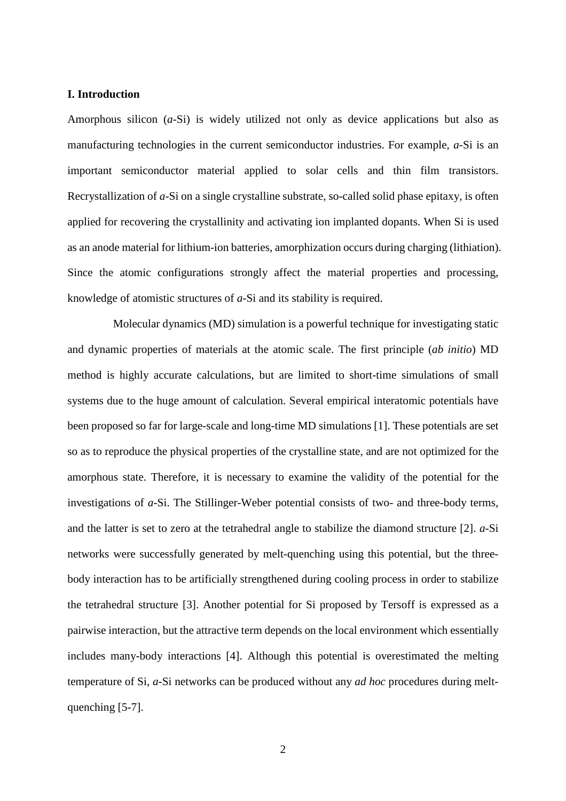## **I. Introduction**

Amorphous silicon (*a*-Si) is widely utilized not only as device applications but also as manufacturing technologies in the current semiconductor industries. For example, *a*-Si is an important semiconductor material applied to solar cells and thin film transistors. Recrystallization of *a*-Si on a single crystalline substrate, so-called solid phase epitaxy, is often applied for recovering the crystallinity and activating ion implanted dopants. When Si is used as an anode material for lithium-ion batteries, amorphization occurs during charging (lithiation). Since the atomic configurations strongly affect the material properties and processing, knowledge of atomistic structures of *a*-Si and its stability is required.

Molecular dynamics (MD) simulation is a powerful technique for investigating static and dynamic properties of materials at the atomic scale. The first principle (*ab initio*) MD method is highly accurate calculations, but are limited to short-time simulations of small systems due to the huge amount of calculation. Several empirical interatomic potentials have been proposed so far for large-scale and long-time MD simulations [1]. These potentials are set so as to reproduce the physical properties of the crystalline state, and are not optimized for the amorphous state. Therefore, it is necessary to examine the validity of the potential for the investigations of *a*-Si. The Stillinger-Weber potential consists of two- and three-body terms, and the latter is set to zero at the tetrahedral angle to stabilize the diamond structure [2]. *a*-Si networks were successfully generated by melt-quenching using this potential, but the threebody interaction has to be artificially strengthened during cooling process in order to stabilize the tetrahedral structure [3]. Another potential for Si proposed by Tersoff is expressed as a pairwise interaction, but the attractive term depends on the local environment which essentially includes many-body interactions [4]. Although this potential is overestimated the melting temperature of Si, *a*-Si networks can be produced without any *ad hoc* procedures during meltquenching [5-7].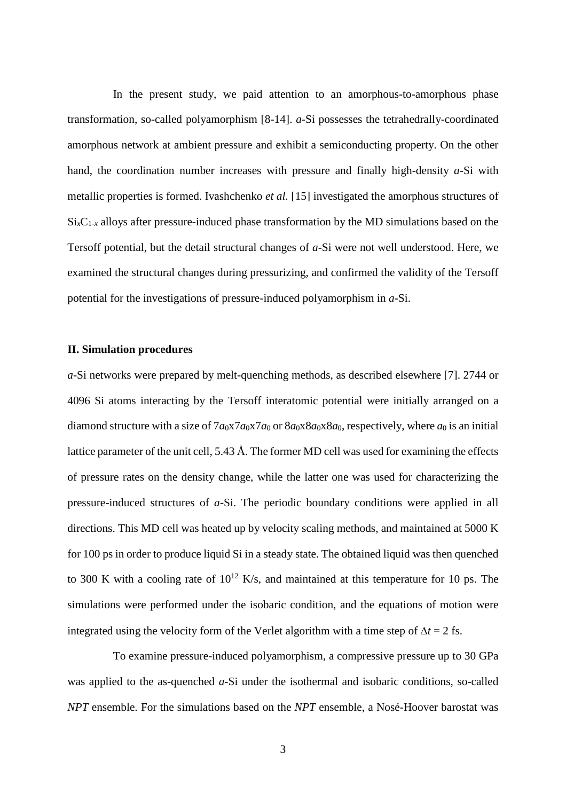In the present study, we paid attention to an amorphous-to-amorphous phase transformation, so-called polyamorphism [8-14]. *a*-Si possesses the tetrahedrally-coordinated amorphous network at ambient pressure and exhibit a semiconducting property. On the other hand, the coordination number increases with pressure and finally high-density *a*-Si with metallic properties is formed. Ivashchenko *et al.* [15] investigated the amorphous structures of  $Si<sub>x</sub>C<sub>1-x</sub>$  alloys after pressure-induced phase transformation by the MD simulations based on the Tersoff potential, but the detail structural changes of *a*-Si were not well understood. Here, we examined the structural changes during pressurizing, and confirmed the validity of the Tersoff potential for the investigations of pressure-induced polyamorphism in *a*-Si.

#### **II. Simulation procedures**

*a*-Si networks were prepared by melt-quenching methods, as described elsewhere [7]. 2744 or 4096 Si atoms interacting by the Tersoff interatomic potential were initially arranged on a diamond structure with a size of  $7a_0x7a_0x7a_0$  or  $8a_0x8a_0x8a_0$ , respectively, where  $a_0$  is an initial lattice parameter of the unit cell, 5.43 Å. The former MD cell was used for examining the effects of pressure rates on the density change, while the latter one was used for characterizing the pressure-induced structures of *a*-Si. The periodic boundary conditions were applied in all directions. This MD cell was heated up by velocity scaling methods, and maintained at 5000 K for 100 ps in order to produce liquid Si in a steady state. The obtained liquid was then quenched to 300 K with a cooling rate of  $10^{12}$  K/s, and maintained at this temperature for 10 ps. The simulations were performed under the isobaric condition, and the equations of motion were integrated using the velocity form of the Verlet algorithm with a time step of ∆*t* = 2 fs.

To examine pressure-induced polyamorphism, a compressive pressure up to 30 GPa was applied to the as-quenched *a*-Si under the isothermal and isobaric conditions, so-called *NPT* ensemble. For the simulations based on the *NPT* ensemble, a Nosé-Hoover barostat was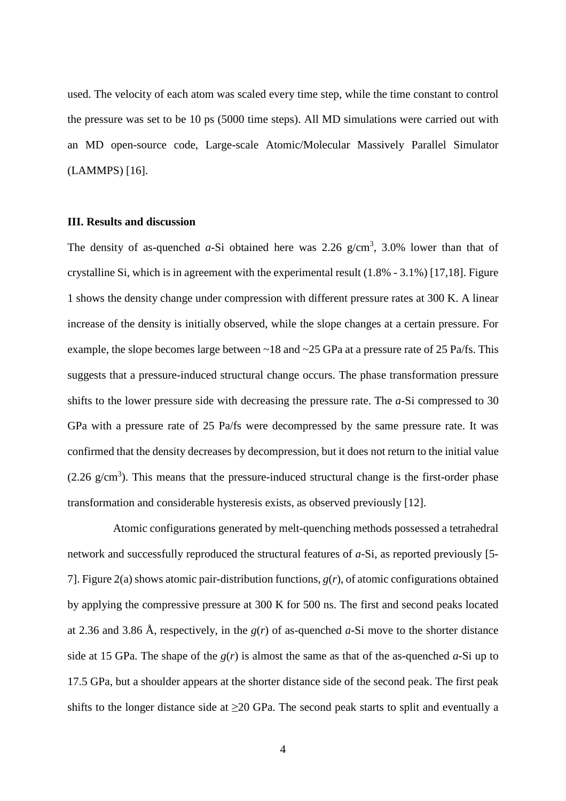used. The velocity of each atom was scaled every time step, while the time constant to control the pressure was set to be 10 ps (5000 time steps). All MD simulations were carried out with an MD open-source code, Large-scale Atomic/Molecular Massively Parallel Simulator (LAMMPS) [16].

#### **III. Results and discussion**

The density of as-quenched  $a$ -Si obtained here was 2.26  $g/cm^3$ , 3.0% lower than that of crystalline Si, which is in agreement with the experimental result (1.8% - 3.1%) [17,18]. Figure 1 shows the density change under compression with different pressure rates at 300 K. A linear increase of the density is initially observed, while the slope changes at a certain pressure. For example, the slope becomes large between ~18 and ~25 GPa at a pressure rate of 25 Pa/fs. This suggests that a pressure-induced structural change occurs. The phase transformation pressure shifts to the lower pressure side with decreasing the pressure rate. The *a*-Si compressed to 30 GPa with a pressure rate of 25 Pa/fs were decompressed by the same pressure rate. It was confirmed that the density decreases by decompression, but it does not return to the initial value  $(2.26 \text{ g/cm}^3)$ . This means that the pressure-induced structural change is the first-order phase transformation and considerable hysteresis exists, as observed previously [12].

Atomic configurations generated by melt-quenching methods possessed a tetrahedral network and successfully reproduced the structural features of *a*-Si, as reported previously [5- 7]. Figure 2(a) shows atomic pair-distribution functions, *g*(*r*), of atomic configurations obtained by applying the compressive pressure at 300 K for 500 ns. The first and second peaks located at 2.36 and 3.86 Å, respectively, in the *g*(*r*) of as-quenched *a*-Si move to the shorter distance side at 15 GPa. The shape of the  $g(r)$  is almost the same as that of the as-quenched  $a$ -Si up to 17.5 GPa, but a shoulder appears at the shorter distance side of the second peak. The first peak shifts to the longer distance side at  $\geq 20$  GPa. The second peak starts to split and eventually a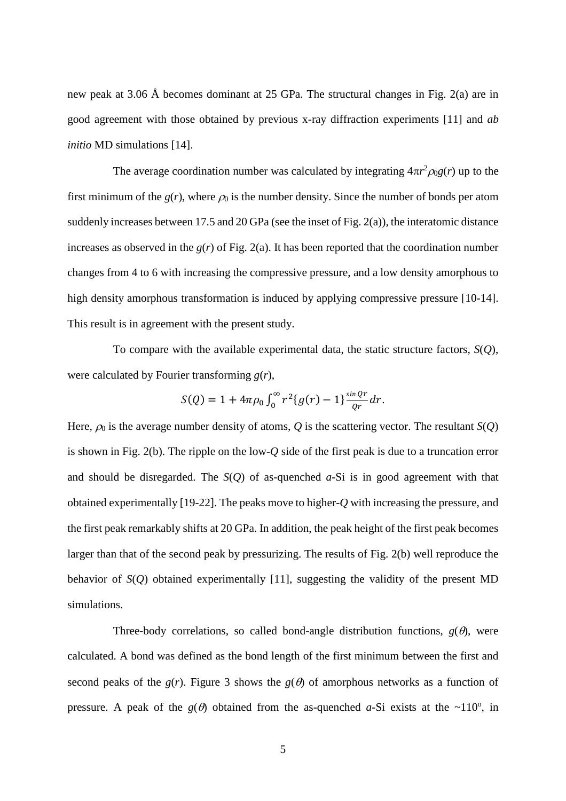new peak at 3.06 Å becomes dominant at 25 GPa. The structural changes in Fig. 2(a) are in good agreement with those obtained by previous x-ray diffraction experiments [11] and *ab initio* MD simulations [14].

The average coordination number was calculated by integrating  $4\pi r^2 \rho_0 g(r)$  up to the first minimum of the  $g(r)$ , where  $\rho_0$  is the number density. Since the number of bonds per atom suddenly increases between 17.5 and 20 GPa (see the inset of Fig. 2(a)), the interatomic distance increases as observed in the  $g(r)$  of Fig. 2(a). It has been reported that the coordination number changes from 4 to 6 with increasing the compressive pressure, and a low density amorphous to high density amorphous transformation is induced by applying compressive pressure [10-14]. This result is in agreement with the present study.

To compare with the available experimental data, the static structure factors, *S*(*Q*), were calculated by Fourier transforming *g*(*r*),

$$
S(Q) = 1 + 4\pi \rho_0 \int_0^\infty r^2 \{g(r) - 1\} \frac{\sin \theta r}{\theta r} dr.
$$

Here,  $\rho_0$  is the average number density of atoms, Q is the scattering vector. The resultant *S*(Q) is shown in Fig. 2(b). The ripple on the low-*Q* side of the first peak is due to a truncation error and should be disregarded. The *S*(*Q*) of as-quenched *a*-Si is in good agreement with that obtained experimentally [19-22]. The peaks move to higher-*Q* with increasing the pressure, and the first peak remarkably shifts at 20 GPa. In addition, the peak height of the first peak becomes larger than that of the second peak by pressurizing. The results of Fig. 2(b) well reproduce the behavior of *S*(*Q*) obtained experimentally [11], suggesting the validity of the present MD simulations.

Three-body correlations, so called bond-angle distribution functions,  $g(\theta)$ , were calculated. A bond was defined as the bond length of the first minimum between the first and second peaks of the  $g(r)$ . Figure 3 shows the  $g(\theta)$  of amorphous networks as a function of pressure. A peak of the  $g(\theta)$  obtained from the as-quenched *a*-Si exists at the ~110<sup>o</sup>, in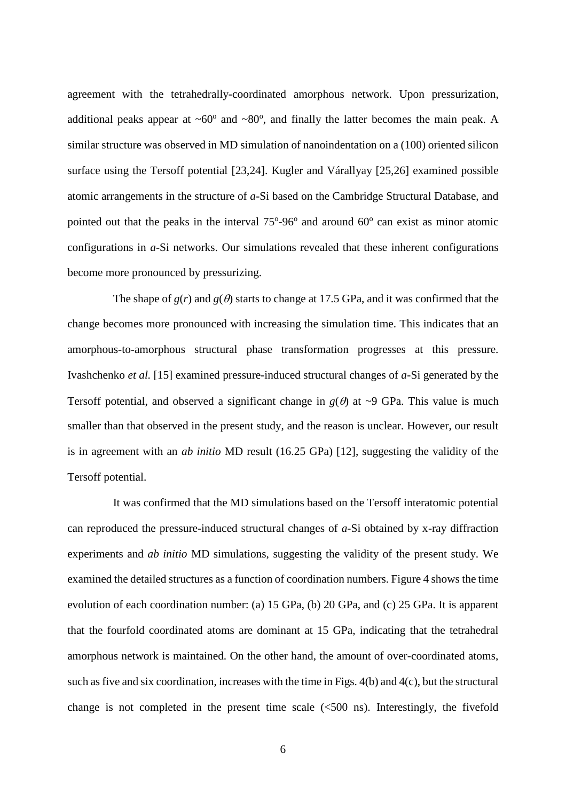agreement with the tetrahedrally-coordinated amorphous network. Upon pressurization, additional peaks appear at  $\sim 60^{\circ}$  and  $\sim 80^{\circ}$ , and finally the latter becomes the main peak. A similar structure was observed in MD simulation of nanoindentation on a (100) oriented silicon surface using the Tersoff potential [23,24]. Kugler and Várallyay [25,26] examined possible atomic arrangements in the structure of *a*-Si based on the Cambridge Structural Database, and pointed out that the peaks in the interval  $75^{\circ}$ -96 $^{\circ}$  and around 60 $^{\circ}$  can exist as minor atomic configurations in *a*-Si networks. Our simulations revealed that these inherent configurations become more pronounced by pressurizing.

The shape of  $g(r)$  and  $g(\theta)$  starts to change at 17.5 GPa, and it was confirmed that the change becomes more pronounced with increasing the simulation time. This indicates that an amorphous-to-amorphous structural phase transformation progresses at this pressure. Ivashchenko *et al.* [15] examined pressure-induced structural changes of *a*-Si generated by the Tersoff potential, and observed a significant change in  $g(\theta)$  at ~9 GPa. This value is much smaller than that observed in the present study, and the reason is unclear. However, our result is in agreement with an *ab initio* MD result (16.25 GPa) [12], suggesting the validity of the Tersoff potential.

It was confirmed that the MD simulations based on the Tersoff interatomic potential can reproduced the pressure-induced structural changes of *a*-Si obtained by x-ray diffraction experiments and *ab initio* MD simulations, suggesting the validity of the present study. We examined the detailed structures as a function of coordination numbers. Figure 4 shows the time evolution of each coordination number: (a) 15 GPa, (b) 20 GPa, and (c) 25 GPa. It is apparent that the fourfold coordinated atoms are dominant at 15 GPa, indicating that the tetrahedral amorphous network is maintained. On the other hand, the amount of over-coordinated atoms, such as five and six coordination, increases with the time in Figs. 4(b) and 4(c), but the structural change is not completed in the present time scale  $\ll 500$  ns). Interestingly, the fivefold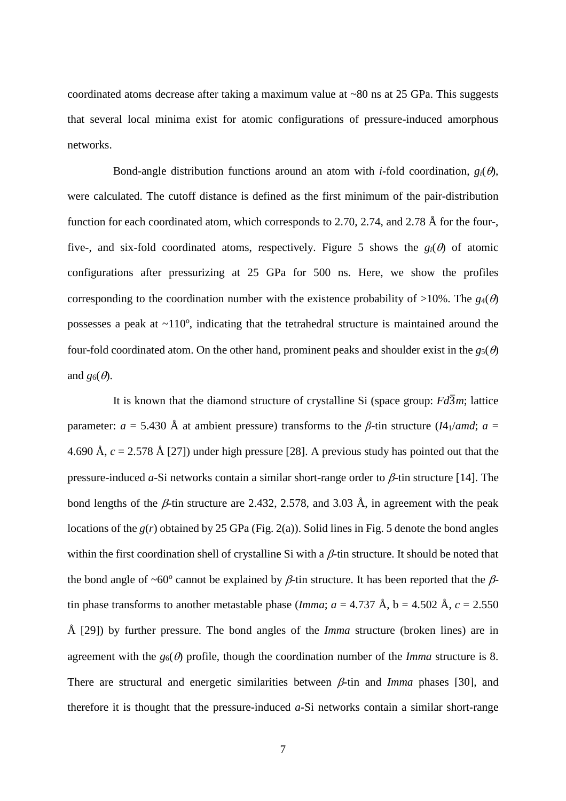coordinated atoms decrease after taking a maximum value at ~80 ns at 25 GPa. This suggests that several local minima exist for atomic configurations of pressure-induced amorphous networks.

Bond-angle distribution functions around an atom with *i*-fold coordination,  $g_i(\theta)$ , were calculated. The cutoff distance is defined as the first minimum of the pair-distribution function for each coordinated atom, which corresponds to 2.70, 2.74, and 2.78 Å for the four-, five-, and six-fold coordinated atoms, respectively. Figure 5 shows the  $g_i(\theta)$  of atomic configurations after pressurizing at 25 GPa for 500 ns. Here, we show the profiles corresponding to the coordination number with the existence probability of  $>10\%$ . The *g*<sub>4</sub>( $\theta$ ) possesses a peak at  $\sim$ 110 $^{\circ}$ , indicating that the tetrahedral structure is maintained around the four-fold coordinated atom. On the other hand, prominent peaks and shoulder exist in the  $g_5(\theta)$ and  $g_6(\theta)$ .

It is known that the diamond structure of crystalline Si (space group:  $Fd\overline{3}m$ ; lattice parameter:  $a = 5.430 \text{ Å}$  at ambient pressure) transforms to the *β*-tin structure (*I*4<sub>1</sub>/*amd*;  $a =$ 4.690 Å, *c* = 2.578 Å [27]) under high pressure [28]. A previous study has pointed out that the pressure-induced *a*-Si networks contain a similar short-range order to β-tin structure [14]. The bond lengths of the  $\beta$ -tin structure are 2.432, 2.578, and 3.03 Å, in agreement with the peak locations of the *g*(*r*) obtained by 25 GPa (Fig. 2(a)). Solid lines in Fig. 5 denote the bond angles within the first coordination shell of crystalline Si with a  $\beta$ -tin structure. It should be noted that the bond angle of ~60<sup>o</sup> cannot be explained by  $\beta$ -tin structure. It has been reported that the  $\beta$ tin phase transforms to another metastable phase (*Imma*;  $a = 4.737 \text{ Å}$ ,  $b = 4.502 \text{ Å}$ ,  $c = 2.550$ Å [29]) by further pressure. The bond angles of the *Imma* structure (broken lines) are in agreement with the  $g_6(\theta)$  profile, though the coordination number of the *Imma* structure is 8. There are structural and energetic similarities between β-tin and *Imma* phases [30], and therefore it is thought that the pressure-induced *a*-Si networks contain a similar short-range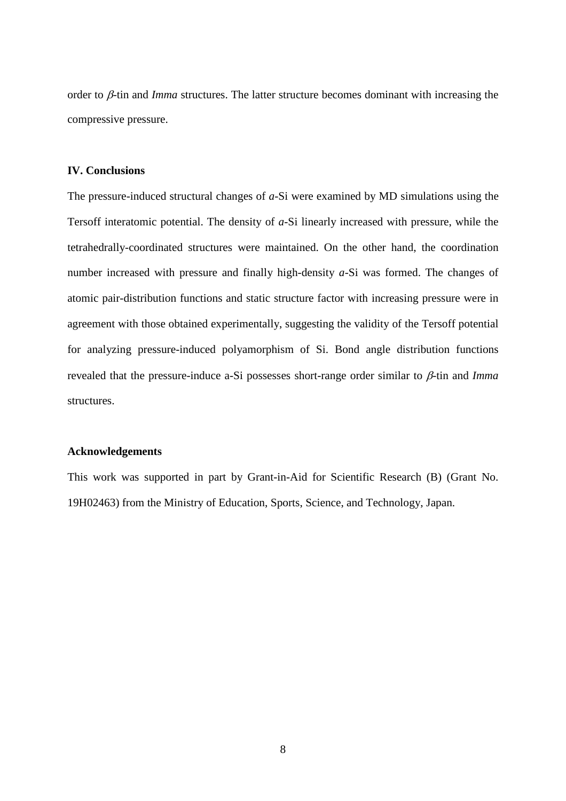order to β-tin and *Imma* structures. The latter structure becomes dominant with increasing the compressive pressure.

## **IV. Conclusions**

The pressure-induced structural changes of *a*-Si were examined by MD simulations using the Tersoff interatomic potential. The density of *a*-Si linearly increased with pressure, while the tetrahedrally-coordinated structures were maintained. On the other hand, the coordination number increased with pressure and finally high-density *a*-Si was formed. The changes of atomic pair-distribution functions and static structure factor with increasing pressure were in agreement with those obtained experimentally, suggesting the validity of the Tersoff potential for analyzing pressure-induced polyamorphism of Si. Bond angle distribution functions revealed that the pressure-induce a-Si possesses short-range order similar to β-tin and *Imma* structures.

### **Acknowledgements**

This work was supported in part by Grant-in-Aid for Scientific Research (B) (Grant No. 19H02463) from the Ministry of Education, Sports, Science, and Technology, Japan.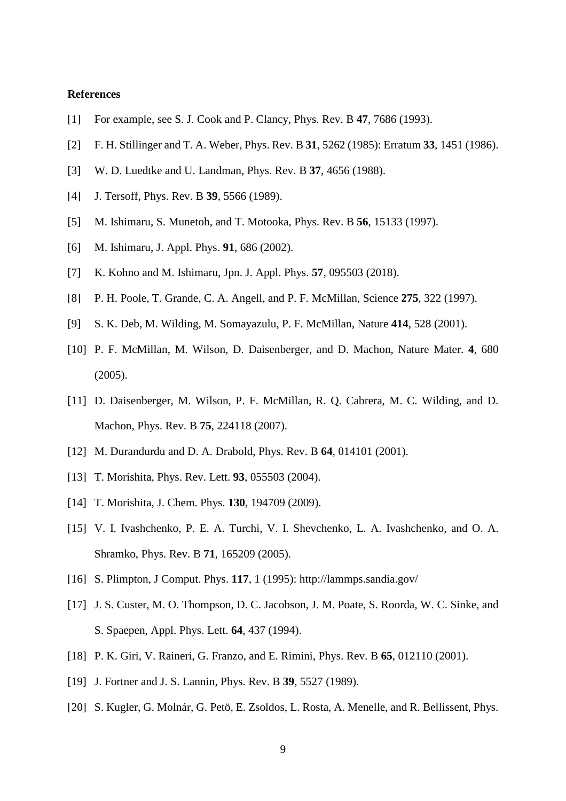## **References**

- [1] For example, see S. J. Cook and P. Clancy, Phys. Rev. B **47**, 7686 (1993).
- [2] F. H. Stillinger and T. A. Weber, Phys. Rev. B **31**, 5262 (1985): Erratum **33**, 1451 (1986).
- [3] W. D. Luedtke and U. Landman, Phys. Rev. B **37**, 4656 (1988).
- [4] J. Tersoff, Phys. Rev. B **39**, 5566 (1989).
- [5] M. Ishimaru, S. Munetoh, and T. Motooka, Phys. Rev. B **56**, 15133 (1997).
- [6] M. Ishimaru, J. Appl. Phys. **91**, 686 (2002).
- [7] K. Kohno and M. Ishimaru, Jpn. J. Appl. Phys. **57**, 095503 (2018).
- [8] P. H. Poole, T. Grande, C. A. Angell, and P. F. McMillan, Science **275**, 322 (1997).
- [9] S. K. Deb, M. Wilding, M. Somayazulu, P. F. McMillan, Nature **414**, 528 (2001).
- [10] P. F. McMillan, M. Wilson, D. Daisenberger, and D. Machon, Nature Mater. **4**, 680 (2005).
- [11] D. Daisenberger, M. Wilson, P. F. McMillan, R. Q. Cabrera, M. C. Wilding, and D. Machon, Phys. Rev. B **75**, 224118 (2007).
- [12] M. Durandurdu and D. A. Drabold, Phys. Rev. B **64**, 014101 (2001).
- [13] T. Morishita, Phys. Rev. Lett. **93**, 055503 (2004).
- [14] T. Morishita, J. Chem. Phys. **130**, 194709 (2009).
- [15] V. I. Ivashchenko, P. E. A. Turchi, V. I. Shevchenko, L. A. Ivashchenko, and O. A. Shramko, Phys. Rev. B **71**, 165209 (2005).
- [16] S. Plimpton, J Comput. Phys. **117**, 1 (1995): http://lammps.sandia.gov/
- [17] J. S. Custer, M. O. Thompson, D. C. Jacobson, J. M. Poate, S. Roorda, W. C. Sinke, and S. Spaepen, Appl. Phys. Lett. **64**, 437 (1994).
- [18] P. K. Giri, V. Raineri, G. Franzo, and E. Rimini, Phys. Rev. B **65**, 012110 (2001).
- [19] J. Fortner and J. S. Lannin, Phys. Rev. B **39**, 5527 (1989).
- [20] S. Kugler, G. Molnár, G. Petö, E. Zsoldos, L. Rosta, A. Menelle, and R. Bellissent, Phys.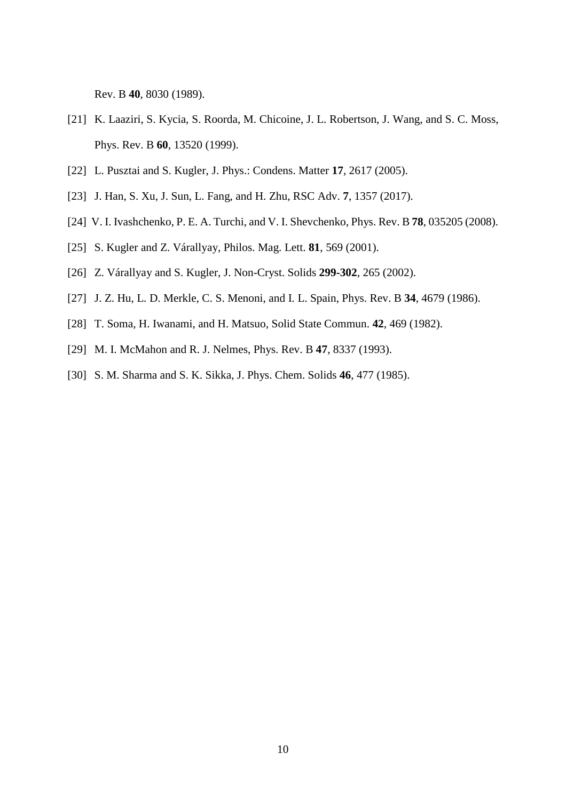Rev. B **40**, 8030 (1989).

- [21] K. Laaziri, S. Kycia, S. Roorda, M. Chicoine, J. L. Robertson, J. Wang, and S. C. Moss, Phys. Rev. B **60**, 13520 (1999).
- [22] L. Pusztai and S. Kugler, J. Phys.: Condens. Matter **17**, 2617 (2005).
- [23] J. Han, S. Xu, J. Sun, L. Fang, and H. Zhu, RSC Adv. **7**, 1357 (2017).
- [24] V. I. Ivashchenko, P. E. A. Turchi, and V. I. Shevchenko, Phys. Rev. B **78**, 035205 (2008).
- [25] S. Kugler and Z. Várallyay, Philos. Mag. Lett. **81**, 569 (2001).
- [26] Z. Várallyay and S. Kugler, J. Non-Cryst. Solids **299-302**, 265 (2002).
- [27] J. Z. Hu, L. D. Merkle, C. S. Menoni, and I. L. Spain, Phys. Rev. B **34**, 4679 (1986).
- [28] T. Soma, H. Iwanami, and H. Matsuo, Solid State Commun. **42**, 469 (1982).
- [29] M. I. McMahon and R. J. Nelmes, Phys. Rev. B **47**, 8337 (1993).
- [30] S. M. Sharma and S. K. Sikka, J. Phys. Chem. Solids **46**, 477 (1985).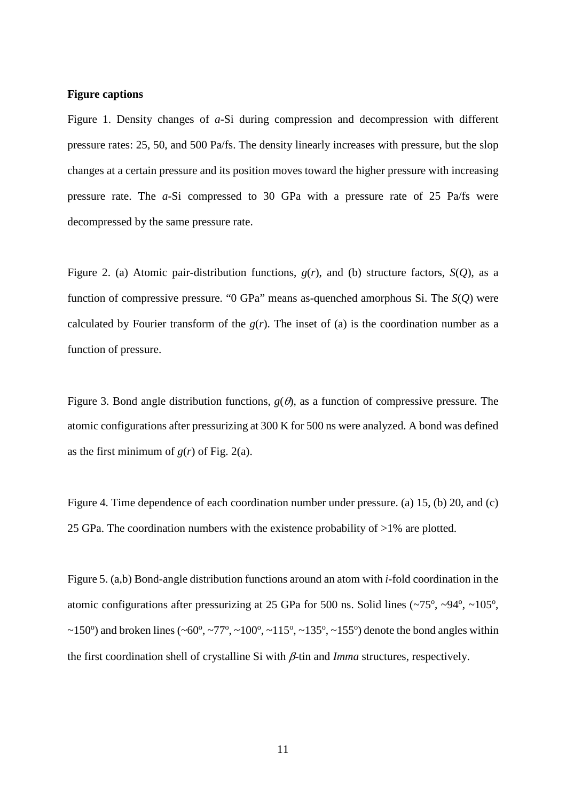### **Figure captions**

Figure 1. Density changes of *a*-Si during compression and decompression with different pressure rates: 25, 50, and 500 Pa/fs. The density linearly increases with pressure, but the slop changes at a certain pressure and its position moves toward the higher pressure with increasing pressure rate. The *a*-Si compressed to 30 GPa with a pressure rate of 25 Pa/fs were decompressed by the same pressure rate.

Figure 2. (a) Atomic pair-distribution functions, *g*(*r*), and (b) structure factors, *S*(*Q*), as a function of compressive pressure. "0 GPa" means as-quenched amorphous Si. The *S*(*Q*) were calculated by Fourier transform of the  $g(r)$ . The inset of (a) is the coordination number as a function of pressure.

Figure 3. Bond angle distribution functions,  $g(\theta)$ , as a function of compressive pressure. The atomic configurations after pressurizing at 300 K for 500 ns were analyzed. A bond was defined as the first minimum of  $g(r)$  of Fig. 2(a).

Figure 4. Time dependence of each coordination number under pressure. (a) 15, (b) 20, and (c) 25 GPa. The coordination numbers with the existence probability of >1% are plotted.

Figure 5. (a,b) Bond-angle distribution functions around an atom with *i*-fold coordination in the atomic configurations after pressurizing at 25 GPa for 500 ns. Solid lines  $(\sim 75^{\circ}, \sim 94^{\circ}, \sim 105^{\circ},$ ~150°) and broken lines (~60°, ~77°, ~100°, ~115°, ~135°, ~155°) denote the bond angles within the first coordination shell of crystalline Si with β-tin and *Imma* structures, respectively.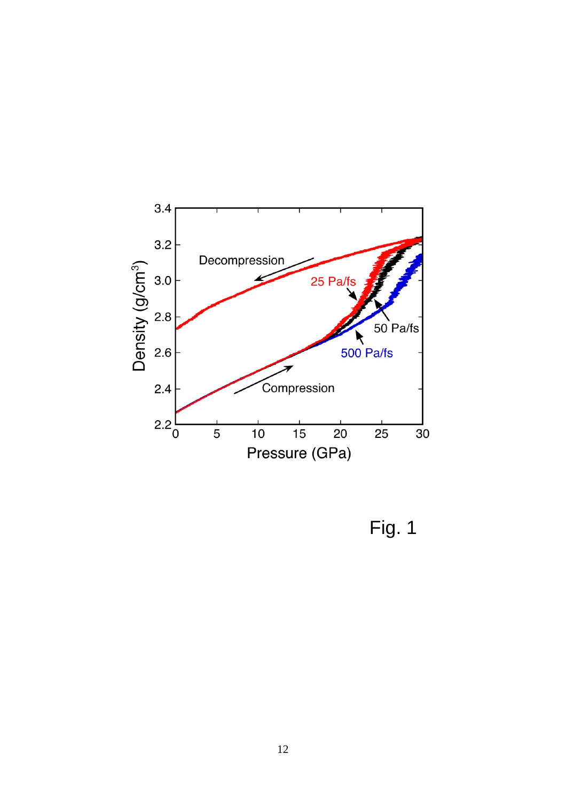

Fig. 1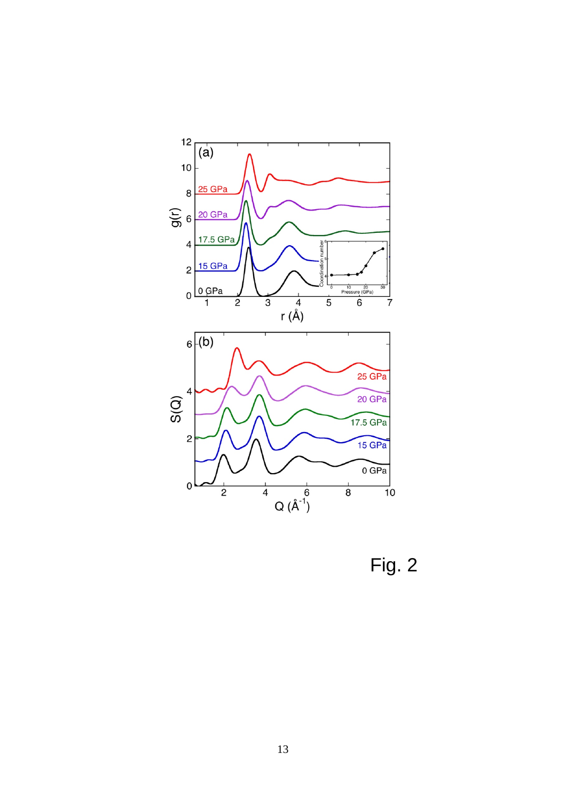

Fig. 2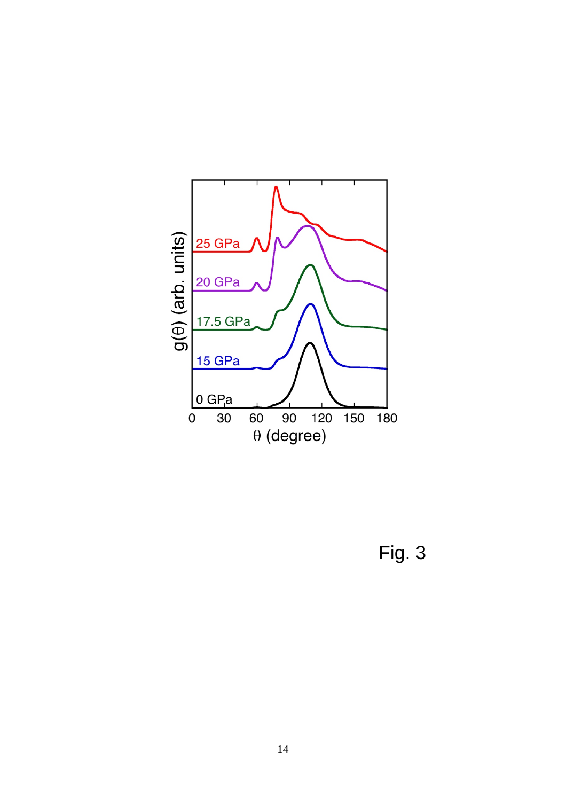

Fig. 3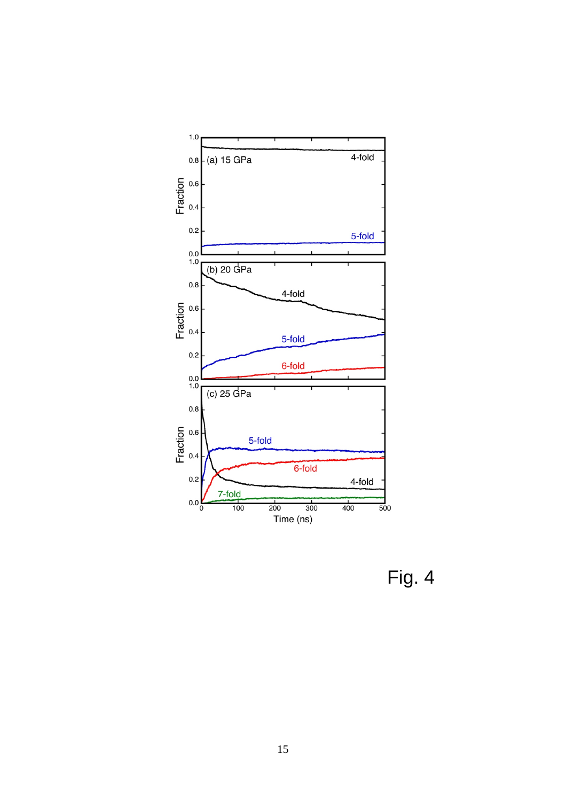

Fig. 4